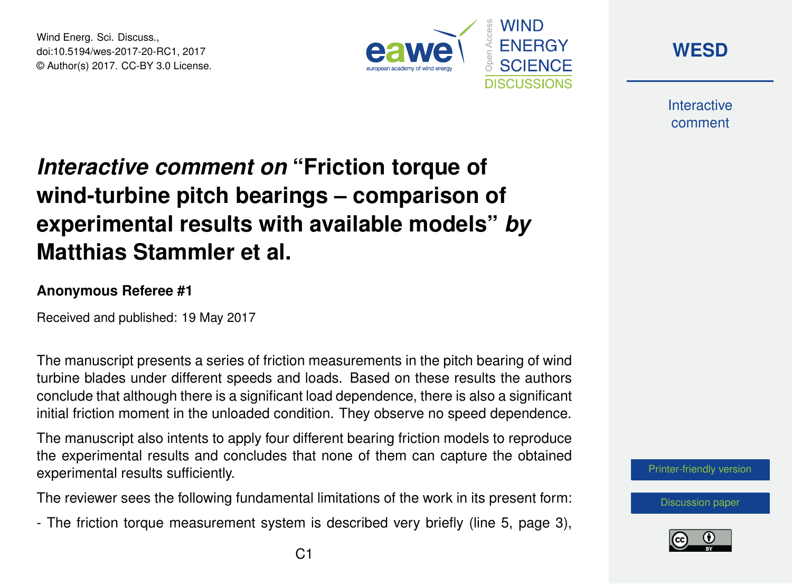Wind Energ. Sci. Discuss., doi:10.5194/wes-2017-20-RC1, 2017 © Author(s) 2017. CC-BY 3.0 License.



**[WESD](http://www.wind-energ-sci-discuss.net/)**

**Interactive** comment

## *Interactive comment on* **"Friction torque of wind-turbine pitch bearings – comparison of experimental results with available models"** *by* **Matthias Stammler et al.**

## **Anonymous Referee #1**

Received and published: 19 May 2017

The manuscript presents a series of friction measurements in the pitch bearing of wind turbine blades under different speeds and loads. Based on these results the authors conclude that although there is a significant load dependence, there is also a significant initial friction moment in the unloaded condition. They observe no speed dependence.

The manuscript also intents to apply four different bearing friction models to reproduce the experimental results and concludes that none of them can capture the obtained experimental results sufficiently.

The reviewer sees the following fundamental limitations of the work in its present form:

- The friction torque measurement system is described very briefly (line 5, page 3),



[Discussion paper](http://www.wind-energ-sci-discuss.net/wes-2017-20)